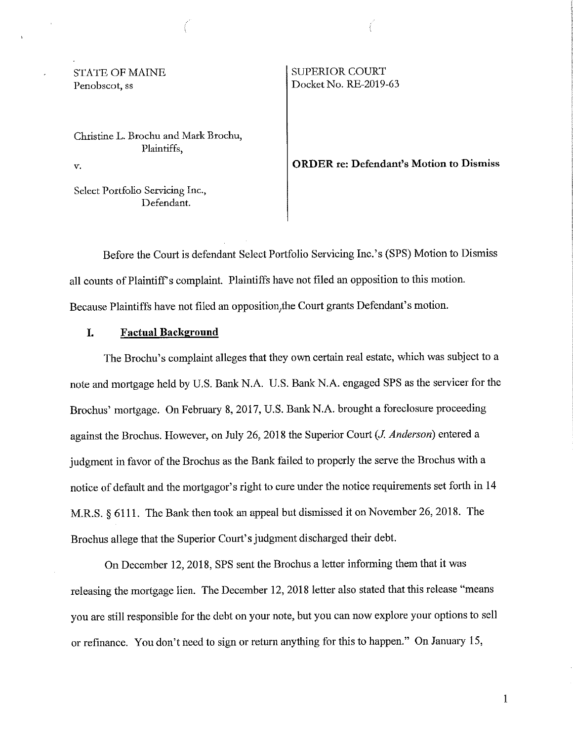## STATE OF MAINE Penobscot, ss

Christine L. Brochu and Mark Brochu, Plaintiffs,

*v.* 

Select Portfolio Servicing Inc., Defendant.

### SUPERIOR COURT Docket No. RE-2019-63

#### **ORDER re: Defendant's Motion to Dismiss**

Before the Court is defendant Select Portfolio Servicing Inc.' s (SPS) Motion to Dismiss all counts of Plaintiff's complaint. Plaintiffs have not filed an opposition to this motion. Because Plaintiffs have not filed an opposition,the Court grants Defendant's motion.

#### **I. Factual Background**

The Brochu's complaint alleges that they own certain real estate, which was subject to a note and mortgage held by U.S. Bank N.A. U.S. Bank N.A. engaged SPS as the servicer for the Brochus' mortgage. On February 8, 2017, U.S. Bank N.A. brought a foreclosure proceeding against the Brochus. However, on July 26, 2018 the Superior Court (J. *Anderson)* entered a judgment in favor of the Brochus as the Bank failed to properly the serve the Brochus with a notice of default and the mortgagor's right to cure under the notice requirements set forth in 14 M.R.S. § 6111. The Bank then took an appeal but dismissed it on November 26, 2018. The Brochus allege that the Superior Court's judgment discharged their debt.

On December 12, 2018, SPS sent the Brochus a letter informing them that it was releasing the mortgage lien. The December 12, 2018 letter also stated that this release "means you are still responsible for the debt on your note, but you can now explore your options to sell or refinance. You don't need to sign or return anything for this to happen." On January 15,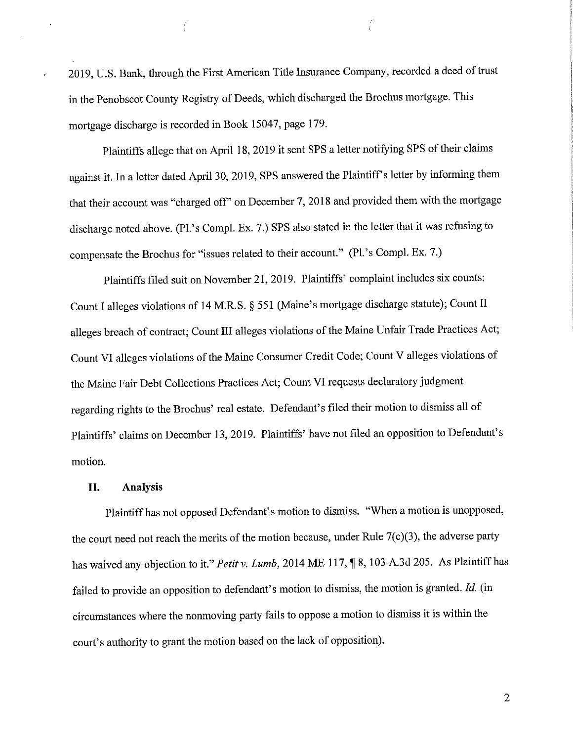2019, U.S. Bank, through the First American Title Insurance Company, recorded a deed of trust in the Penobscot County Registry of Deeds, which discharged the Brochus mortgage. This mortgage discharge is recorded in Book 15047, page 179.

Plaintiffs allege that on April 18, 2019 it sent SPS a letter notifying SPS of their claims against it. In a letter dated April 30, 2019, SPS answered the Plaintiff's letter by informing them that their account was "charged off' on December 7, 2018 and provided them with the mortgage discharge noted above. (Pl.'s Compl. Ex. 7.) SPS also stated in the letter that it was refusing to compensate the Brochus for "issues related to their account." (Pl.'s Compl. Ex. 7.)

Plaintiffs filed suit on November 21, 2019. Plaintiffs' complaint includes six counts: Count I alleges violations of 14 M.R.S. § 551 (Maine's mortgage discharge statute); Count II alleges breach of contract; Count III alleges violations of the Maine Unfair Trade Practices Act; Count VI alleges violations of the Maine Consumer Credit Code; Count V alleges violations of the Maine Fair Debt Collections Practices Act; Count VI requests declaratory judgment regarding rights to the Brochus' real estate. Defendant's filed their motion to dismiss all of Plaintiffs' claims on December 13, 2019. Plaintiffs' have not filed an opposition to Defendant's motion.

#### **II. Analysis**

Plaintiff has not opposed Defendant's motion to dismiss. "When a motion is unopposed, the court need not reach the merits of the motion because, under Rule  $7(c)(3)$ , the adverse party has waived any objection to it." Petit v. Lumb, 2014 ME 117,  $\parallel$  8, 103 A.3d 205. As Plaintiff has failed to provide an opposition to defendant's motion to dismiss, the motion is granted. *Id.* (in circumstances where the nonmoving party fails to oppose a motion to dismiss it is within the court's authority to grant the motion based on the lack of opposition).

2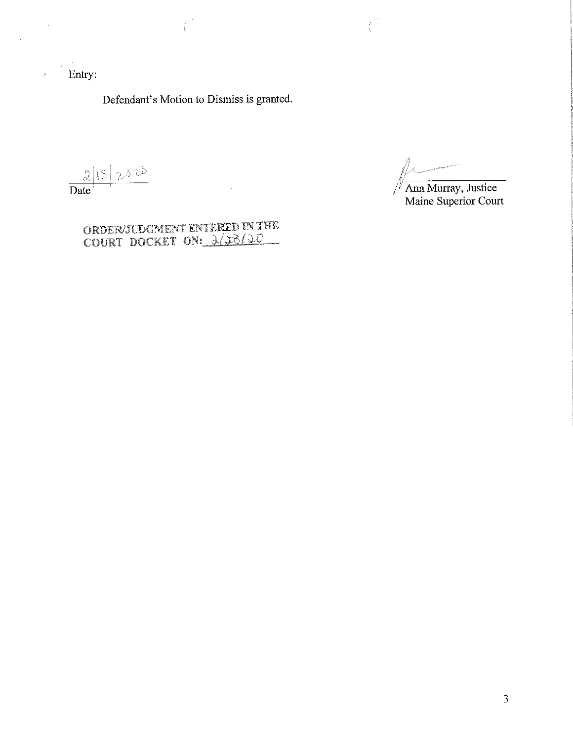Entry:

 $\ddot{\phantom{a}}$ 

Defendant's Motion to Dismiss is granted.

 $\frac{2|18|}{\text{Date}} \cdot \frac{2000}{\text{Date}}$ 

//,  $\frac{\mu}{\mu}$ 

*/Y* Ann Murray, Justice Maine Superior Court

ORDER/JUDGMENT ENTERED IN THE COURT DOCKET ON: 2/20/20